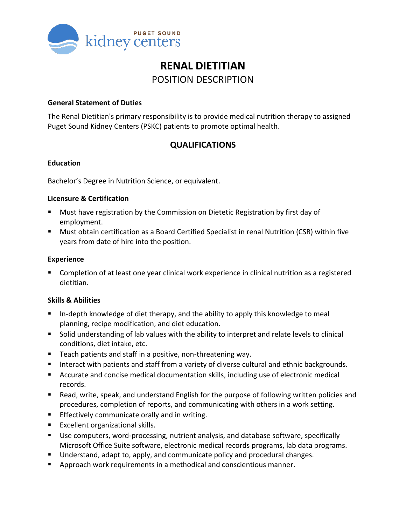

# **RENAL DIETITIAN** POSITION DESCRIPTION

### **General Statement of Duties**

The Renal Dietitian's primary responsibility is to provide medical nutrition therapy to assigned Puget Sound Kidney Centers (PSKC) patients to promote optimal health.

# **QUALIFICATIONS**

### **Education**

Bachelor's Degree in Nutrition Science, or equivalent.

### **Licensure & Certification**

- Must have registration by the Commission on Dietetic Registration by first day of employment.
- Must obtain certification as a Board Certified Specialist in renal Nutrition (CSR) within five years from date of hire into the position.

### **Experience**

**Completion of at least one year clinical work experience in clinical nutrition as a registered** dietitian.

## **Skills & Abilities**

- **IF** In-depth knowledge of diet therapy, and the ability to apply this knowledge to meal planning, recipe modification, and diet education.
- Solid understanding of lab values with the ability to interpret and relate levels to clinical conditions, diet intake, etc.
- **Teach patients and staff in a positive, non-threatening way.**
- Interact with patients and staff from a variety of diverse cultural and ethnic backgrounds.
- Accurate and concise medical documentation skills, including use of electronic medical records.
- Read, write, speak, and understand English for the purpose of following written policies and procedures, completion of reports, and communicating with others in a work setting.
- **Effectively communicate orally and in writing.**
- **Excellent organizational skills.**
- Use computers, word-processing, nutrient analysis, and database software, specifically Microsoft Office Suite software, electronic medical records programs, lab data programs.
- Understand, adapt to, apply, and communicate policy and procedural changes.
- **Approach work requirements in a methodical and conscientious manner.**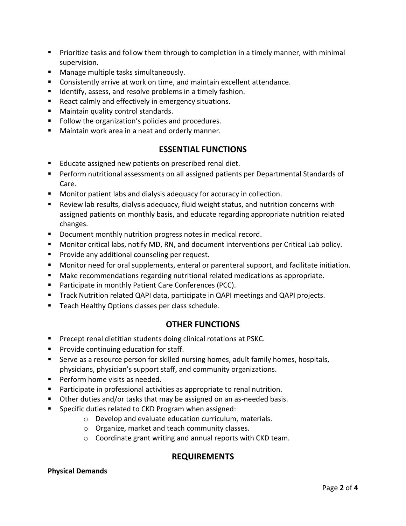- **Prioritize tasks and follow them through to completion in a timely manner, with minimal** supervision.
- **Manage multiple tasks simultaneously.**
- Consistently arrive at work on time, and maintain excellent attendance.
- **IDENTIFY**, assess, and resolve problems in a timely fashion.
- React calmly and effectively in emergency situations.
- **Maintain quality control standards.**
- **Follow the organization's policies and procedures.**
- **Maintain work area in a neat and orderly manner.**

# **ESSENTIAL FUNCTIONS**

- Educate assigned new patients on prescribed renal diet.
- Perform nutritional assessments on all assigned patients per Departmental Standards of Care.
- Monitor patient labs and dialysis adequacy for accuracy in collection.
- Review lab results, dialysis adequacy, fluid weight status, and nutrition concerns with assigned patients on monthly basis, and educate regarding appropriate nutrition related changes.
- Document monthly nutrition progress notes in medical record.
- Monitor critical labs, notify MD, RN, and document interventions per Critical Lab policy.
- **Provide any additional counseling per request.**
- **Monitor need for oral supplements, enteral or parenteral support, and facilitate initiation.**
- Make recommendations regarding nutritional related medications as appropriate.
- **Participate in monthly Patient Care Conferences (PCC).**
- **Track Nutrition related QAPI data, participate in QAPI meetings and QAPI projects.**
- **Teach Healthy Options classes per class schedule.**

# **OTHER FUNCTIONS**

- **Precept renal dietitian students doing clinical rotations at PSKC.**
- **Provide continuing education for staff.**
- Serve as a resource person for skilled nursing homes, adult family homes, hospitals, physicians, physician's support staff, and community organizations.
- **Perform home visits as needed.**
- Participate in professional activities as appropriate to renal nutrition.
- Other duties and/or tasks that may be assigned on an as-needed basis.
- **Specific duties related to CKD Program when assigned:** 
	- o Develop and evaluate education curriculum, materials.
	- o Organize, market and teach community classes.
	- o Coordinate grant writing and annual reports with CKD team.

# **REQUIREMENTS**

### **Physical Demands**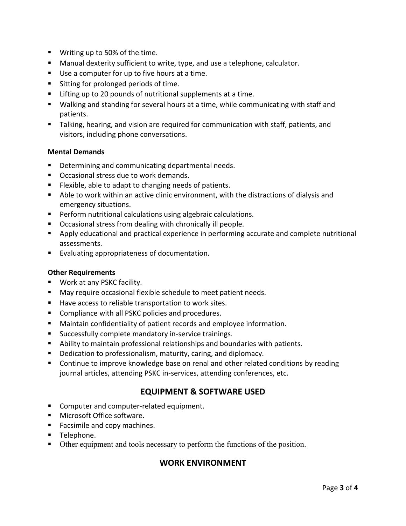- Writing up to 50% of the time.
- **Manual dexterity sufficient to write, type, and use a telephone, calculator.**
- Use a computer for up to five hours at a time.
- **Sitting for prolonged periods of time.**
- Lifting up to 20 pounds of nutritional supplements at a time.
- Walking and standing for several hours at a time, while communicating with staff and patients.
- Talking, hearing, and vision are required for communication with staff, patients, and visitors, including phone conversations.

#### **Mental Demands**

- **Determining and communicating departmental needs.**
- **Occasional stress due to work demands.**
- **Filexible, able to adapt to changing needs of patients.**
- Able to work within an active clinic environment, with the distractions of dialysis and emergency situations.
- **Perform nutritional calculations using algebraic calculations.**
- Occasional stress from dealing with chronically ill people.
- Apply educational and practical experience in performing accurate and complete nutritional assessments.
- **Evaluating appropriateness of documentation.**

#### **Other Requirements**

- Work at any PSKC facility.
- May require occasional flexible schedule to meet patient needs.
- Have access to reliable transportation to work sites.
- **Compliance with all PSKC policies and procedures.**
- Maintain confidentiality of patient records and employee information.
- **Successfully complete mandatory in-service trainings.**
- Ability to maintain professional relationships and boundaries with patients.
- **Dedication to professionalism, maturity, caring, and diplomacy.**
- **Continue to improve knowledge base on renal and other related conditions by reading** journal articles, attending PSKC in-services, attending conferences, etc.

# **EQUIPMENT & SOFTWARE USED**

- Computer and computer-related equipment.
- Microsoft Office software.
- Facsimile and copy machines.
- **Telephone.**
- Other equipment and tools necessary to perform the functions of the position.

## **WORK ENVIRONMENT**